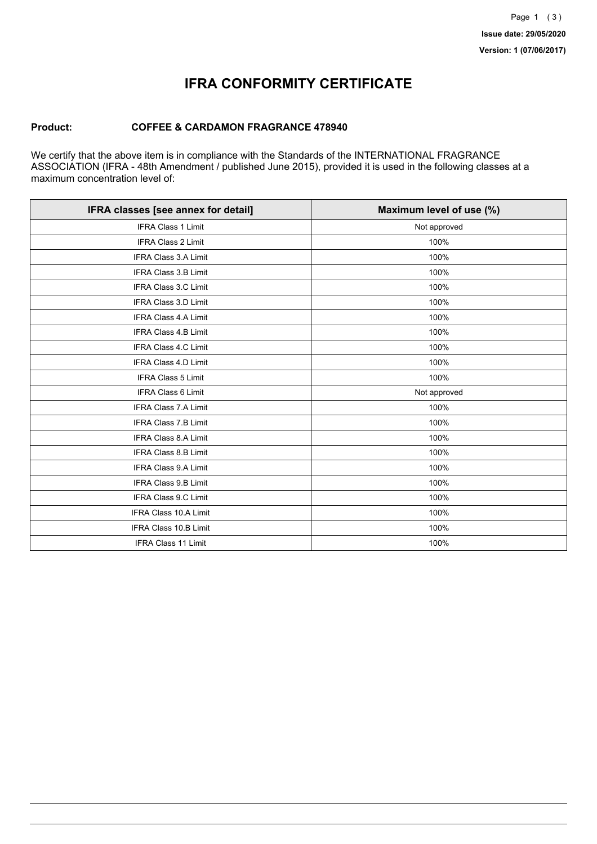## **IFRA CONFORMITY CERTIFICATE**

#### **Product: COFFEE & CARDAMON FRAGRANCE 478940**

We certify that the above item is in compliance with the Standards of the INTERNATIONAL FRAGRANCE ASSOCIATION (IFRA - 48th Amendment / published June 2015), provided it is used in the following classes at a maximum concentration level of:

| IFRA classes [see annex for detail] | Maximum level of use (%) |
|-------------------------------------|--------------------------|
| <b>IFRA Class 1 Limit</b>           | Not approved             |
| <b>IFRA Class 2 Limit</b>           | 100%                     |
| <b>IFRA Class 3.A Limit</b>         | 100%                     |
| <b>IFRA Class 3.B Limit</b>         | 100%                     |
| IFRA Class 3.C Limit                | 100%                     |
| <b>IFRA Class 3.D Limit</b>         | 100%                     |
| <b>IFRA Class 4.A Limit</b>         | 100%                     |
| <b>IFRA Class 4.B Limit</b>         | 100%                     |
| IFRA Class 4.C Limit                | 100%                     |
| IFRA Class 4.D Limit                | 100%                     |
| <b>IFRA Class 5 Limit</b>           | 100%                     |
| <b>IFRA Class 6 Limit</b>           | Not approved             |
| <b>IFRA Class 7.A Limit</b>         | 100%                     |
| IFRA Class 7.B Limit                | 100%                     |
| IFRA Class 8.A Limit                | 100%                     |
| <b>IFRA Class 8.B Limit</b>         | 100%                     |
| <b>IFRA Class 9.A Limit</b>         | 100%                     |
| <b>IFRA Class 9.B Limit</b>         | 100%                     |
| IFRA Class 9.C Limit                | 100%                     |
| IFRA Class 10.A Limit               | 100%                     |
| IFRA Class 10.B Limit               | 100%                     |
| <b>IFRA Class 11 Limit</b>          | 100%                     |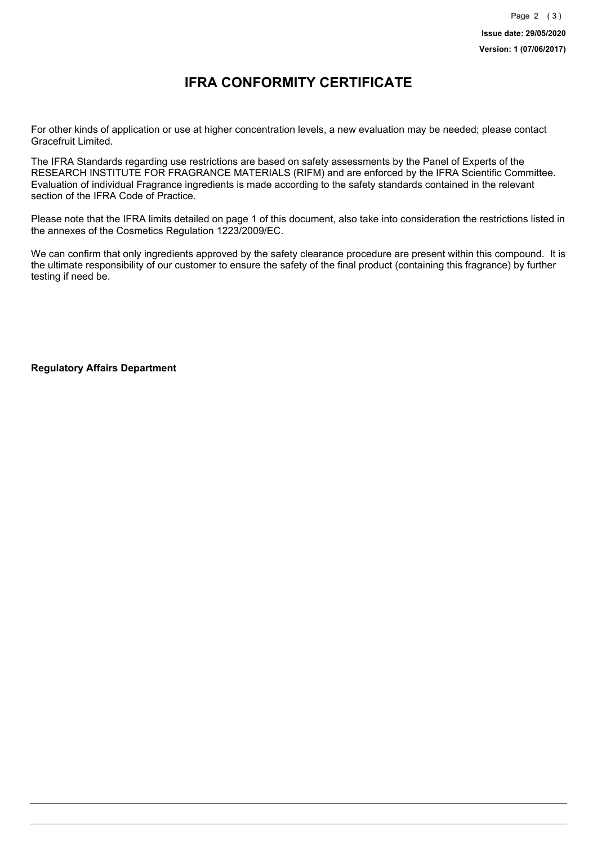### **IFRA CONFORMITY CERTIFICATE**

For other kinds of application or use at higher concentration levels, a new evaluation may be needed; please contact Gracefruit Limited.

The IFRA Standards regarding use restrictions are based on safety assessments by the Panel of Experts of the RESEARCH INSTITUTE FOR FRAGRANCE MATERIALS (RIFM) and are enforced by the IFRA Scientific Committee. Evaluation of individual Fragrance ingredients is made according to the safety standards contained in the relevant section of the IFRA Code of Practice.

Please note that the IFRA limits detailed on page 1 of this document, also take into consideration the restrictions listed in the annexes of the Cosmetics Regulation 1223/2009/EC.

We can confirm that only ingredients approved by the safety clearance procedure are present within this compound. It is the ultimate responsibility of our customer to ensure the safety of the final product (containing this fragrance) by further testing if need be.

**Regulatory Affairs Department**